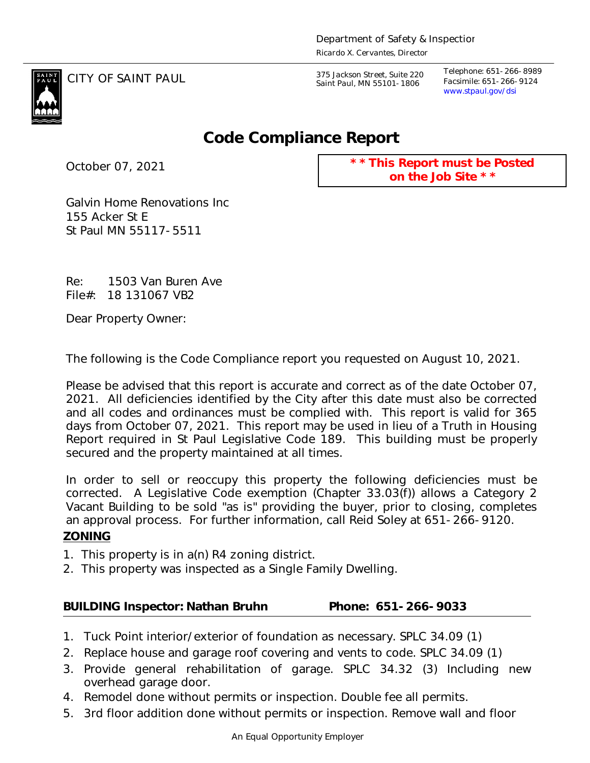CITY OF SAINT PAUL *375 Jackson Street, Suite 220 Saint Paul, MN 55101-1806*

*Telephone: 651-266-8989 Facsimile: 651-266-9124 www.stpaul.gov/dsi*



## **Code Compliance Report**

October 07, 2021

**\* \* This Report must be Posted on the Job Site \* \***

Galvin Home Renovations Inc 155 Acker St E St Paul MN 55117-5511

Re: 1503 Van Buren Ave File#: 18 131067 VB2

Dear Property Owner:

The following is the Code Compliance report you requested on August 10, 2021.

Please be advised that this report is accurate and correct as of the date October 07, 2021. All deficiencies identified by the City after this date must also be corrected and all codes and ordinances must be complied with. This report is valid for 365 days from October 07, 2021. This report may be used in lieu of a Truth in Housing Report required in St Paul Legislative Code 189. This building must be properly secured and the property maintained at all times.

In order to sell or reoccupy this property the following deficiencies must be corrected. A Legislative Code exemption (Chapter 33.03(f)) allows a Category 2 Vacant Building to be sold "as is" providing the buyer, prior to closing, completes an approval process. For further information, call Reid Soley at 651-266-9120. **ZONING**

- 1. This property is in a(n) R4 zoning district.
- 2. This property was inspected as a Single Family Dwelling.

**BUILDING Inspector: Nathan Bruhn Phone: 651-266-9033**

- 1. Tuck Point interior/exterior of foundation as necessary. SPLC 34.09 (1)
- 2. Replace house and garage roof covering and vents to code. SPLC 34.09 (1)
- 3. Provide general rehabilitation of garage. SPLC 34.32 (3) Including new overhead garage door.
- 4. Remodel done without permits or inspection. Double fee all permits.
- 5. 3rd floor addition done without permits or inspection. Remove wall and floor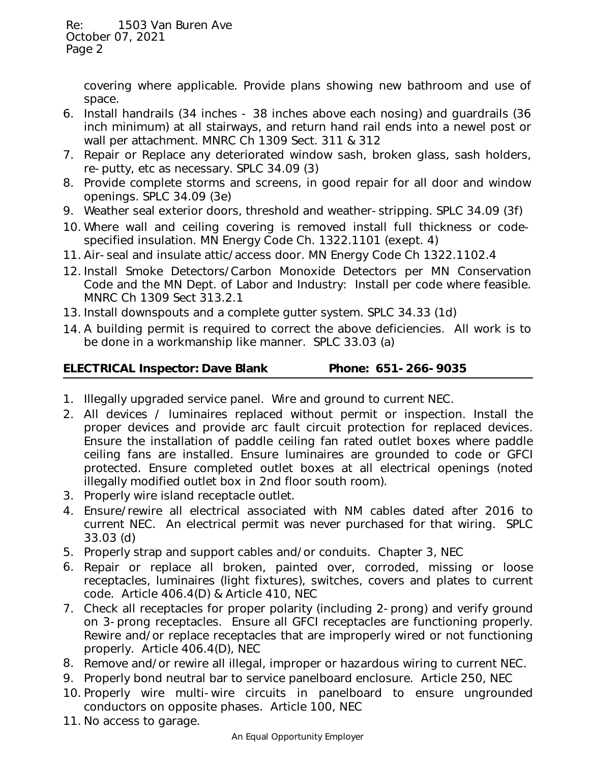> covering where applicable. Provide plans showing new bathroom and use of space.

- 6. Install handrails (34 inches 38 inches above each nosing) and guardrails (36 inch minimum) at all stairways, and return hand rail ends into a newel post or wall per attachment. MNRC Ch 1309 Sect. 311 & 312
- 7. Repair or Replace any deteriorated window sash, broken glass, sash holders, re-putty, etc as necessary. SPLC 34.09 (3)
- 8. Provide complete storms and screens, in good repair for all door and window openings. SPLC 34.09 (3e)
- 9. Weather seal exterior doors, threshold and weather-stripping. SPLC 34.09 (3f)
- 10. Where wall and ceiling covering is removed install full thickness or codespecified insulation. MN Energy Code Ch. 1322.1101 (exept. 4)
- 11. Air-seal and insulate attic/access door. MN Energy Code Ch 1322.1102.4
- 12. Install Smoke Detectors/Carbon Monoxide Detectors per MN Conservation Code and the MN Dept. of Labor and Industry: Install per code where feasible. MNRC Ch 1309 Sect 313.2.1
- 13. Install downspouts and a complete gutter system. SPLC 34.33 (1d)
- 14. A building permit is required to correct the above deficiencies. All work is to be done in a workmanship like manner. SPLC 33.03 (a)

| <b>ELECTRICAL Inspector: Dave Blank</b> |  |
|-----------------------------------------|--|
|                                         |  |

Phone: 651-266-9035

- 1. Illegally upgraded service panel. Wire and ground to current NEC.
- 2. All devices / luminaires replaced without permit or inspection. Install the proper devices and provide arc fault circuit protection for replaced devices. Ensure the installation of paddle ceiling fan rated outlet boxes where paddle ceiling fans are installed. Ensure luminaires are grounded to code or GFCI protected. Ensure completed outlet boxes at all electrical openings (noted illegally modified outlet box in 2nd floor south room).
- 3. Properly wire island receptacle outlet.
- 4. Ensure/rewire all electrical associated with NM cables dated after 2016 to current NEC. An electrical permit was never purchased for that wiring. SPLC 33.03 (d)
- 5. Properly strap and support cables and/or conduits. Chapter 3, NEC
- 6. Repair or replace all broken, painted over, corroded, missing or loose receptacles, luminaires (light fixtures), switches, covers and plates to current code. Article 406.4(D) & Article 410, NEC
- 7. Check all receptacles for proper polarity (including 2-prong) and verify ground on 3-prong receptacles. Ensure all GFCI receptacles are functioning properly. Rewire and/or replace receptacles that are improperly wired or not functioning properly. Article 406.4(D), NEC
- 8. Remove and/or rewire all illegal, improper or hazardous wiring to current NEC.
- 9. Properly bond neutral bar to service panelboard enclosure. Article 250, NEC
- 10. Properly wire multi-wire circuits in panelboard to ensure ungrounded conductors on opposite phases. Article 100, NEC
- 11. No access to garage.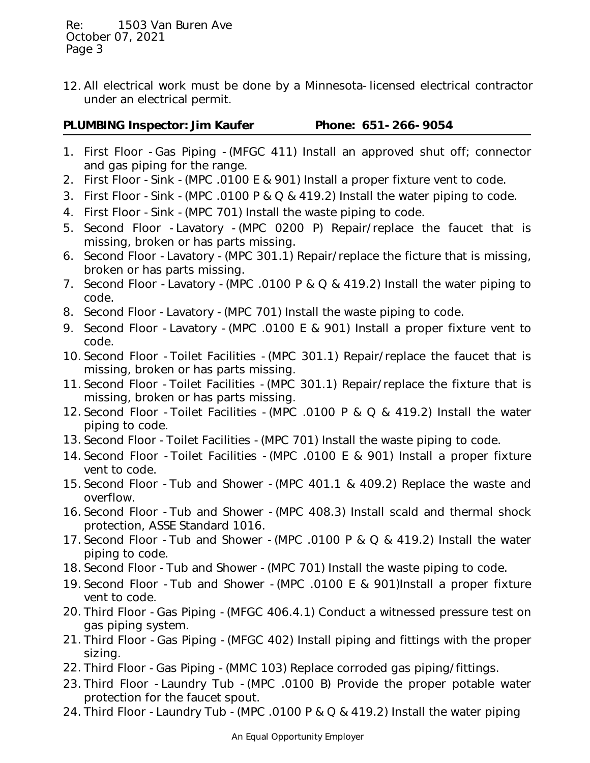All electrical work must be done by a Minnesota-licensed electrical contractor 12. under an electrical permit.

- 1. First Floor -Gas Piping -(MFGC 411) Install an approved shut off; connector and gas piping for the range.
- 2. First Floor -Sink -(MPC .0100 E & 901) Install a proper fixture vent to code.
- 3. First Floor -Sink -(MPC .0100 P & Q & 419.2) Install the water piping to code.
- 4. First Floor -Sink -(MPC 701) Install the waste piping to code.
- 5. Second Floor -Lavatory -(MPC 0200 P) Repair/replace the faucet that is missing, broken or has parts missing.
- 6. Second Floor -Lavatory -(MPC 301.1) Repair/replace the ficture that is missing, broken or has parts missing.
- 7. Second Floor -Lavatory -(MPC .0100 P & Q & 419.2) Install the water piping to code.
- 8. Second Floor -Lavatory -(MPC 701) Install the waste piping to code.
- 9. Second Floor -Lavatory -(MPC .0100 E & 901) Install a proper fixture vent to code.
- 10. Second Floor -Toilet Facilities -(MPC 301.1) Repair/replace the faucet that is missing, broken or has parts missing.
- 11. Second Floor -Toilet Facilities -(MPC 301.1) Repair/replace the fixture that is missing, broken or has parts missing.
- 12. Second Floor -Toilet Facilities -(MPC .0100 P & Q & 419.2) Install the water piping to code.
- 13. Second Floor -Toilet Facilities -(MPC 701) Install the waste piping to code.
- 14. Second Floor -Toilet Facilities -(MPC .0100 E & 901) Install a proper fixture vent to code.
- 15. Second Floor -Tub and Shower -(MPC 401.1 & 409.2) Replace the waste and overflow.
- 16. Second Floor -Tub and Shower -(MPC 408.3) Install scald and thermal shock protection, ASSE Standard 1016.
- 17. Second Floor -Tub and Shower -(MPC .0100 P & Q & 419.2) Install the water piping to code.
- 18. Second Floor -Tub and Shower -(MPC 701) Install the waste piping to code.
- 19. Second Floor -Tub and Shower -(MPC .0100 E & 901)Install a proper fixture vent to code.
- 20. Third Floor -Gas Piping -(MFGC 406.4.1) Conduct a witnessed pressure test on gas piping system.
- 21. Third Floor -Gas Piping -(MFGC 402) Install piping and fittings with the proper sizing.
- 22. Third Floor -Gas Piping -(MMC 103) Replace corroded gas piping/fittings.
- 23. Third Floor -Laundry Tub -(MPC .0100 B) Provide the proper potable water protection for the faucet spout.
- 24. Third Floor -Laundry Tub -(MPC .0100 P & Q & 419.2) Install the water piping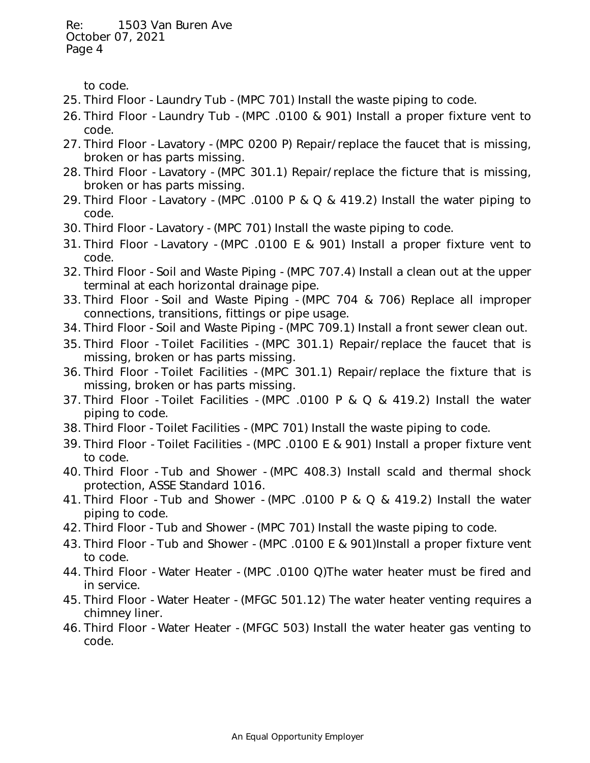to code.

- 25. Third Floor -Laundry Tub -(MPC 701) Install the waste piping to code.
- 26. Third Floor -Laundry Tub -(MPC .0100 & 901) Install a proper fixture vent to code.
- 27. Third Floor -Lavatory -(MPC 0200 P) Repair/replace the faucet that is missing, broken or has parts missing.
- 28. Third Floor -Lavatory -(MPC 301.1) Repair/replace the ficture that is missing, broken or has parts missing.
- 29. Third Floor -Lavatory -(MPC .0100 P & Q & 419.2) Install the water piping to code.
- 30. Third Floor -Lavatory -(MPC 701) Install the waste piping to code.
- 31. Third Floor -Lavatory -(MPC .0100 E & 901) Install a proper fixture vent to code.
- 32. Third Floor -Soil and Waste Piping -(MPC 707.4) Install a clean out at the upper terminal at each horizontal drainage pipe.
- 33. Third Floor -Soil and Waste Piping -(MPC 704 & 706) Replace all improper connections, transitions, fittings or pipe usage.
- 34. Third Floor -Soil and Waste Piping -(MPC 709.1) Install a front sewer clean out.
- 35. Third Floor -Toilet Facilities -(MPC 301.1) Repair/replace the faucet that is missing, broken or has parts missing.
- 36. Third Floor -Toilet Facilities -(MPC 301.1) Repair/replace the fixture that is missing, broken or has parts missing.
- 37. Third Floor -Toilet Facilities -(MPC .0100 P & Q & 419.2) Install the water piping to code.
- 38. Third Floor -Toilet Facilities -(MPC 701) Install the waste piping to code.
- 39. Third Floor -Toilet Facilities -(MPC .0100 E & 901) Install a proper fixture vent to code.
- 40. Third Floor -Tub and Shower -(MPC 408.3) Install scald and thermal shock protection, ASSE Standard 1016.
- 41. Third Floor -Tub and Shower -(MPC .0100 P & Q & 419.2) Install the water piping to code.
- 42. Third Floor -Tub and Shower -(MPC 701) Install the waste piping to code.
- 43. Third Floor -Tub and Shower -(MPC .0100 E & 901)Install a proper fixture vent to code.
- 44. Third Floor -Water Heater -(MPC .0100 Q)The water heater must be fired and in service.
- 45. Third Floor -Water Heater -(MFGC 501.12) The water heater venting requires a chimney liner.
- 46. Third Floor -Water Heater -(MFGC 503) Install the water heater gas venting to code.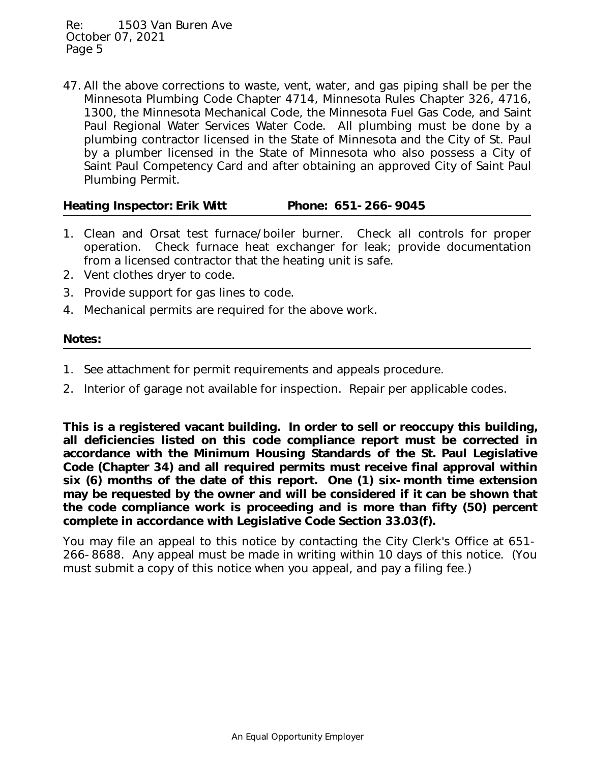All the above corrections to waste, vent, water, and gas piping shall be per the 47. Minnesota Plumbing Code Chapter 4714, Minnesota Rules Chapter 326, 4716, 1300, the Minnesota Mechanical Code, the Minnesota Fuel Gas Code, and Saint Paul Regional Water Services Water Code. All plumbing must be done by a plumbing contractor licensed in the State of Minnesota and the City of St. Paul by a plumber licensed in the State of Minnesota who also possess a City of Saint Paul Competency Card and after obtaining an approved City of Saint Paul Plumbing Permit.

Heating Inspector: Erik Witt Phone: 651-266-9045

- 1. Clean and Orsat test furnace/boiler burner. Check all controls for proper operation. Check furnace heat exchanger for leak; provide documentation from a licensed contractor that the heating unit is safe.
- 2. Vent clothes dryer to code.
- 3. Provide support for gas lines to code.
- 4. Mechanical permits are required for the above work.

## **Notes:**

- 1. See attachment for permit requirements and appeals procedure.
- 2. Interior of garage not available for inspection. Repair per applicable codes.

**This is a registered vacant building. In order to sell or reoccupy this building, all deficiencies listed on this code compliance report must be corrected in accordance with the Minimum Housing Standards of the St. Paul Legislative Code (Chapter 34) and all required permits must receive final approval within six (6) months of the date of this report. One (1) six-month time extension may be requested by the owner and will be considered if it can be shown that the code compliance work is proceeding and is more than fifty (50) percent complete in accordance with Legislative Code Section 33.03(f).**

You may file an appeal to this notice by contacting the City Clerk's Office at 651- 266-8688. Any appeal must be made in writing within 10 days of this notice. (You must submit a copy of this notice when you appeal, and pay a filing fee.)